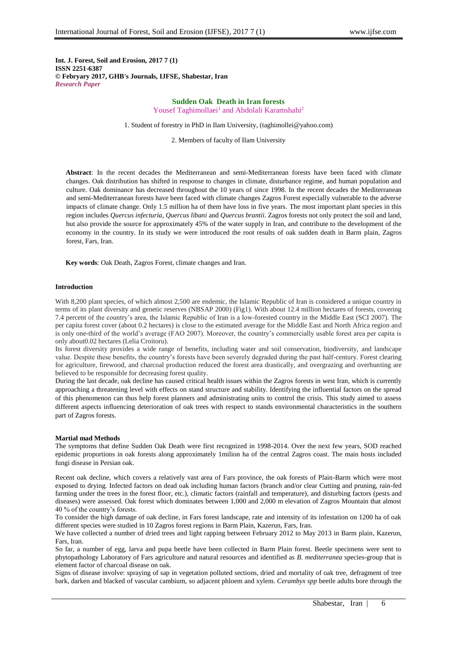**Int. J. Forest, Soil and Erosion, 2017 7 (1) ISSN 2251-6387 © Febryary 2017, GHB's Journals, IJFSE, Shabestar, Iran** *Research Paper*

# **Sudden Oak Death in Iran forests** Yousef Taghimollaei<sup>1</sup> and Abdolali Karamshahi<sup>2</sup>

1. Student of forestry in PhD in Ilam University, (taghimollei@yahoo.com)

2. Members of faculty of Ilam University

 **Abstract**: In the recent decades the Mediterranean and semi-Mediterranean forests have been faced with climate changes. Oak distribution has shifted in response to changes in climate, disturbance regime, and human population and culture. Oak dominance has decreased throughout the 10 years of since 1998. In the recent decades the Mediterranean and semi-Mediterranean forests have been faced with climate changes Zagros Forest especially vulnerable to the adverse impacts of climate change. Only 1.5 million ha of them have loss in five years. The most important plant species in this region includes *Quercus infecturia, Quercus libani* and *Quercus brantii*. Zagros forests not only protect the soil and land, but also provide the source for approximately 45% of the water supply in Iran, and contribute to the development of the economy in the country. In its study we were introduced the root results of oak sudden death in Barm plain, Zagros forest, Fars, Iran.

 **Key words**: Oak Death, Zagros Forest, climate changes and Iran.

### **Introduction**

With 8,200 plant species, of which almost 2,500 are endemic, the Islamic Republic of Iran is considered a unique country in terms of its plant diversity and genetic reserves (NBSAP 2000) (Fig1). With about 12.4 million hectares of forests, covering 7.4 percent of the country's area, the Islamic Republic of Iran is a low-forested country in the Middle East (SCI 2007). The per capita forest cover (about 0.2 hectares) is close to the estimated average for the Middle East and North Africa region and is only one-third of the world's average (FAO 2007). Moreover, the country's commercially usable forest area per capita is only about0.02 hectares (Lelia Croitoru).

Its forest diversity provides a wide range of benefits, including water and soil conservation, biodiversity, and landscape value. Despite these benefits, the country's forests have been severely degraded during the past half-century. Forest clearing for agriculture, firewood, and charcoal production reduced the forest area drastically, and overgrazing and overhunting are believed to be responsible for decreasing forest quality.

During the last decade, oak decline has caused critical health issues within the Zagros forests in west Iran, which is currently approaching a threatening level with effects on stand structure and stability. Identifying the influential factors on the spread of this phenomenon can thus help forest planners and administrating units to control the crisis. This study aimed to assess different aspects influencing deterioration of oak trees with respect to stands environmental characteristics in the southern part of Zagros forests.

#### **Martial mad Methods**

The symptoms that define Sudden Oak Death were first recognized in 1998-2014. Over the next few years, SOD reached epidemic proportions in oak forests along approximately 1milion ha of the central Zagros coast. The main hosts included fungi disease in Persian oak.

Recent oak decline, which covers a relatively vast area of Fars province, the oak forests of Plain-Barm which were most exposed to drying. Infected factors on dead oak including human factors (branch and/or clear Cutting and pruning, rain-fed farming under the trees in the forest floor, etc.), climatic factors (rainfall and temperature), and disturbing factors (pests and diseases) were assessed. Oak forest which dominates between 1,000 and 2,000 m elevation of Zagros Mountain that almost 40 % of the country's forests.

To consider the high damage of oak decline, in Fars forest landscape, rate and intensity of its infestation on 1200 ha of oak different species were studied in 10 Zagros forest regions in Barm Plain, Kazerun, Fars, Iran.

We have collected a number of dried trees and light rapping between February 2012 to May 2013 in Barm plain, Kazerun, Fars, Iran.

So far, a number of egg, larva and pupa beetle have been collected in Barm Plain forest. Beetle specimens were sent to phytopathology Laboratory of Fars agriculture and natural resources and identified as *B. mediterranea* species-group that is element factor of charcoal disease on oak.

Signs of disease involve: spraying of sap in vegetation polluted sections, dried and mortality of oak tree, defragment of tree bark, darken and blacked of vascular cambium, so adjacent phloem and xylem. *Cerambyx spp* beetle adults bore through the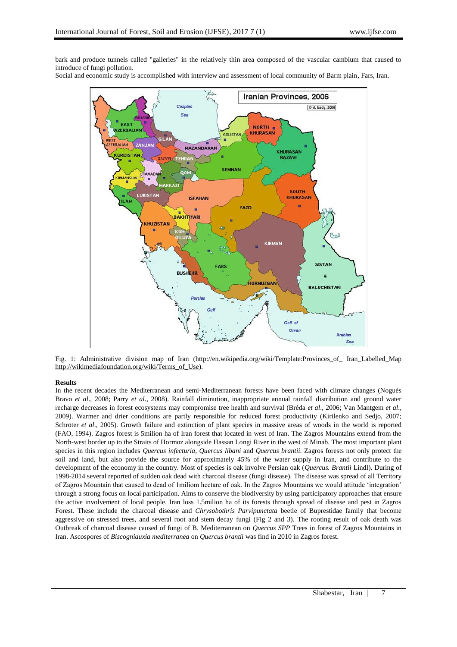bark and produce tunnels called "galleries" in the relatively thin area composed of the vascular cambium that caused to introduce of fungi pollution.

Social and economic study is accomplished with interview and assessment of local community of Barm plain, Fars, Iran.



Fig. 1: Administrative division map of Iran (http://en.wikipedia.org/wiki/Template:Provinces\_of\_ Iran\_Labelled\_Map [http://wikimediafoundation.org/wiki/Terms\\_of\\_Use\)](http://wikimediafoundation.org/wiki/Terms_of_Use).

# **Results**

In the recent decades the Mediterranean and semi-Mediterranean forests have been faced with climate changes (Nogués Bravo *et al*., 2008; Parry *et al*., 2008). Rainfall diminution, inappropriate annual rainfall distribution and ground water recharge decreases in forest ecosystems may compromise tree health and survival (Bréda *et al*., 2006; Van Mantgem *et al*., 2009). Warmer and drier conditions are partly responsible for reduced forest productivity (Kirilenko and Sedjo, 2007; Schröter *et al.*, 2005). Growth failure and extinction of plant species in massive areas of woods in the world is reported (FAO, 1994). Zagros forest is 5milion ha of Iran forest that located in west of Iran. The Zagros Mountains extend from the North-west border up to the Straits of Hormoz alongside Hassan Longi River in the west of Minab. The most important plant species in this region includes *Quercus infecturia, Quercus libani* and *Quercus brantii*. Zagros forests not only protect the soil and land, but also provide the source for approximately 45% of the water supply in Iran, and contribute to the development of the economy in the country. Most of species is oak involve Persian oak (*Quercus. Brantii* Lindl). During of 1998-2014 several reported of sudden oak dead with charcoal disease (fungi disease). The disease was spread of all Territory of Zagros Mountain that caused to dead of 1miliom hectare of oak. In the Zagros Mountains we would attitude 'integration' through a strong focus on local participation. Aims to conserve the biodiversity by using participatory approaches that ensure the active involvement of local people. Iran loss 1.5milion ha of its forests through spread of disease and pest in Zagros Forest. These include the charcoal disease and *Chrysobothris Parvipunctata* beetle of Buprestidae family that become aggressive on stressed trees, and several root and stem decay fungi (Fig 2 and 3). The rooting result of oak death was Outbreak of charcoal disease caused of fungi of B. Mediterranean on *Quercus SPP* Trees in forest of Zagros Mountains in Iran. Ascospores of *Biscogniauxia mediterranea* on *Quercus brantii* was find in 2010 in Zagros forest.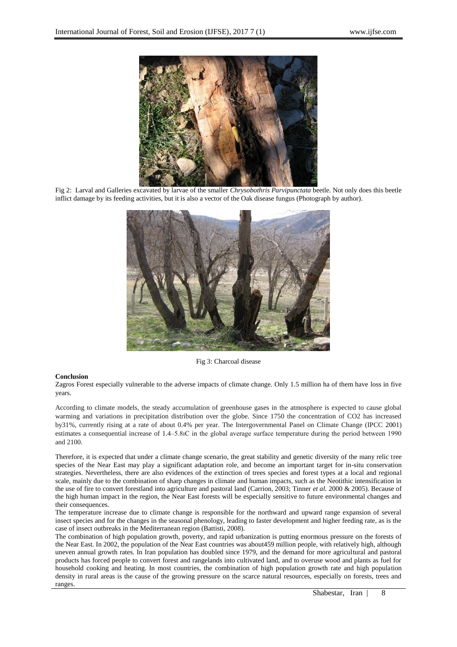

Fig 2: Larval and Galleries excavated by larvae of the smaller *Chrysobothris Parvipunctata* beetle. Not only does this beetle inflict damage by its feeding activities, but it is also a vector of the Oak disease fungus (Photograph by author).



Fig 3: Charcoal disease

# **Conclusion**

Zagros Forest especially vulnerable to the adverse impacts of climate change. Only 1.5 million ha of them have loss in five years.

According to climate models, the steady accumulation of greenhouse gases in the atmosphere is expected to cause global warming and variations in precipitation distribution over the globe. Since 1750 the concentration of CO2 has increased by31%, currently rising at a rate of about 0.4% per year. The Intergovernmental Panel on Climate Change (IPCC 2001) estimates a consequential increase of 1.4–5.8ıC in the global average surface temperature during the period between 1990 and 2100.

Therefore, it is expected that under a climate change scenario, the great stability and genetic diversity of the many relic tree species of the Near East may play a significant adaptation role, and become an important target for in-situ conservation strategies. Nevertheless, there are also evidences of the extinction of trees species and forest types at a local and regional scale, mainly due to the combination of sharp changes in climate and human impacts, such as the Neotithic intensification in the use of fire to convert forestland into agriculture and pastoral land (Carrion, 2003; Tinner *et al.* 2000 & 2005). Because of the high human impact in the region, the Near East forests will be especially sensitive to future environmental changes and their consequences.

The temperature increase due to climate change is responsible for the northward and upward range expansion of several insect species and for the changes in the seasonal phenology, leading to faster development and higher feeding rate, as is the case of insect outbreaks in the Mediterranean region (Battisti, 2008).

The combination of high population growth, poverty, and rapid urbanization is putting enormous pressure on the forests of the Near East. In 2002, the population of the Near East countries was about459 million people, with relatively high, although uneven annual growth rates. In Iran population has doubled since 1979, and the demand for more agricultural and pastoral products has forced people to convert forest and rangelands into cultivated land, and to overuse wood and plants as fuel for household cooking and heating. In most countries, the combination of high population growth rate and high population density in rural areas is the cause of the growing pressure on the scarce natural resources, especially on forests, trees and ranges.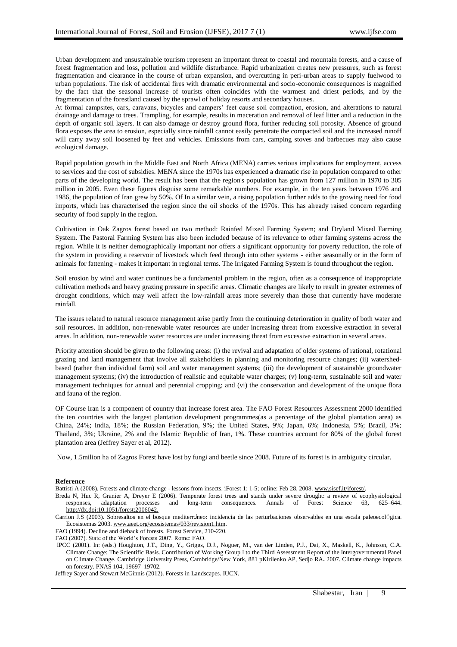Urban development and unsustainable tourism represent an important threat to coastal and mountain forests, and a cause of forest fragmentation and loss, pollution and wildlife disturbance. Rapid urbanization creates new pressures, such as forest fragmentation and clearance in the course of urban expansion, and overcutting in peri-urban areas to supply fuelwood to urban populations. The risk of accidental fires with dramatic environmental and socio-economic consequences is magnified by the fact that the seasonal increase of tourists often coincides with the warmest and driest periods, and by the fragmentation of the forestland caused by the sprawl of holiday resorts and secondary houses.

At formal campsites, cars, caravans, bicycles and campers' feet cause soil compaction, erosion, and alterations to natural drainage and damage to trees. Trampling, for example, results in maceration and removal of leaf litter and a reduction in the depth of organic soil layers. It can also damage or destroy ground flora, further reducing soil porosity. Absence of ground flora exposes the area to erosion, especially since rainfall cannot easily penetrate the compacted soil and the increased runoff will carry away soil loosened by feet and vehicles. Emissions from cars, camping stoves and barbecues may also cause ecological damage.

Rapid population growth in the Middle East and North Africa (MENA) carries serious implications for employment, access to services and the cost of subsidies. MENA since the 1970s has experienced a dramatic rise in population compared to other parts of the developing world. The result has been that the region's population has grown from 127 million in 1970 to 305 million in 2005. Even these figures disguise some remarkable numbers. For example, in the ten years between 1976 and 1986, the population of Iran grew by 50%. Of In a similar vein, a rising population further adds to the growing need for food imports, which has characterised the region since the oil shocks of the 1970s. This has already raised concern regarding security of food supply in the region.

Cultivation in Oak Zagros forest based on two method: Rainfed Mixed Farming System; and Dryland Mixed Farming System. The Pastoral Farming System has also been included because of its relevance to other farming systems across the region. While it is neither demographically important nor offers a significant opportunity for poverty reduction, the role of the system in providing a reservoir of livestock which feed through into other systems - either seasonally or in the form of animals for fattening - makes it important in regional terms. The Irrigated Farming System is found throughout the region.

Soil erosion by wind and water continues be a fundamental problem in the region, often as a consequence of inappropriate cultivation methods and heavy grazing pressure in specific areas. Climatic changes are likely to result in greater extremes of drought conditions, which may well affect the low-rainfall areas more severely than those that currently have moderate rainfall.

The issues related to natural resource management arise partly from the continuing deterioration in quality of both water and soil resources. In addition, non-renewable water resources are under increasing threat from excessive extraction in several areas. In addition, non-renewable water resources are under increasing threat from excessive extraction in several areas.

Priority attention should be given to the following areas: (i) the revival and adaptation of older systems of rational, rotational grazing and land management that involve all stakeholders in planning and monitoring resource changes; (ii) watershedbased (rather than individual farm) soil and water management systems; (iii) the development of sustainable groundwater management systems; (iv) the introduction of realistic and equitable water charges; (v) long-term, sustainable soil and water management techniques for annual and perennial cropping; and (vi) the conservation and development of the unique flora and fauna of the region.

OF Course Iran is a component of country that increase forest area. The FAO Forest Resources Assessment 2000 identified the ten countries with the largest plantation development programmes(as a percentage of the global plantation area) as China, 24%; India, 18%; the Russian Federation, 9%; the United States, 9%; Japan, 6%; Indonesia, 5%; Brazil, 3%; Thailand, 3%; Ukraine, 2% and the Islamic Republic of Iran, 1%. These countries account for 80% of the global forest plantation area (Jeffrey Sayer et al, 2012).

Now, 1.5milion ha of Zagros Forest have lost by fungi and beetle since 2008. Future of its forest is in ambiguity circular.

#### **Reference**

Battisti A (2008). Forests and climate change - lessons from insects. iForest 1: 1-5; online: Feb 28, 2008[. www.sisef.it/iforest/.](http://www.sisef.it/iforest/)

Breda N, Huc R, Granier A, Dreyer E (2006). Temperate forest trees and stands under severe drought: a review of ecophysiological responses. adaptation processes and long-term consequences. Annals of Forest Science 63, 625– responses, adaptation processes and long-term consequences. Annals of Forest Science 63, [http://dx.doi:10.1051/forest:2006042.](http://dx.doi:10.1051/forest:2006042)

Carrion J.S (2003). Sobresaltos en el bosque mediterroneo: incidencia de las perturbaciones observables en una escala paleoecológica. Ecosistemas 2003. [www.aeet.org/ecosistemas/033/revision1.htm.](http://www.aeet.org/ecosistemas/033/revision1.htm)

FAO (1994). Decline and dieback of forests. Forest Service, 210-220.

FAO (2007). State of the World's Forests 2007. Rome: FAO.

IPCC (2001). In: (eds.) Houghton, J.T., Ding, Y., Griggs, D.J., Noguer, M., van der Linden, P.J., Dai, X., Maskell, K., Johnson, C.A. Climate Change: The Scientific Basis. Contribution of Working Group I to the Third Assessment Report of the Intergovernmental Panel on Climate Change. Cambridge University Press, Cambridge/New York, 881 pKirilenko AP, Sedjo RA**.** 2007. Climate change impacts on forestry. PNAS 104, 19697–19702.

Jeffrey Sayer and Stewart McGinnis (2012). Forests in Landscapes. IUCN.